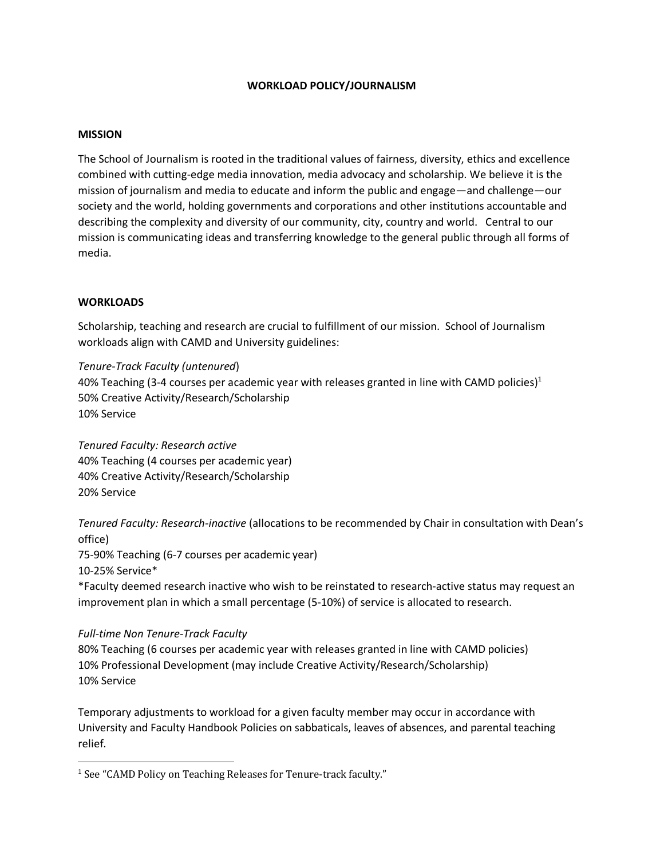### **WORKLOAD POLICY/JOURNALISM**

### **MISSION**

The School of Journalism is rooted in the traditional values of fairness, diversity, ethics and excellence combined with cutting-edge media innovation, media advocacy and scholarship. We believe it is the mission of journalism and media to educate and inform the public and engage—and challenge—our society and the world, holding governments and corporations and other institutions accountable and describing the complexity and diversity of our community, city, country and world. Central to our mission is communicating ideas and transferring knowledge to the general public through all forms of media.

### **WORKLOADS**

Scholarship, teaching and research are crucial to fulfillment of our mission. School of Journalism workloads align with CAMD and University guidelines:

*Tenure-Track Faculty (untenured*) 40% Teaching (3-4 courses per academic year with releases granted in line with CAMD policies)<sup>1</sup> 50% Creative Activity/Research/Scholarship 10% Service

*Tenured Faculty: Research active* 40% Teaching (4 courses per academic year) 40% Creative Activity/Research/Scholarship 20% Service

*Tenured Faculty: Research-inactive* (allocations to be recommended by Chair in consultation with Dean's office)

75-90% Teaching (6-7 courses per academic year)

10-25% Service\*

\*Faculty deemed research inactive who wish to be reinstated to research-active status may request an improvement plan in which a small percentage (5-10%) of service is allocated to research.

# *Full-time Non Tenure-Track Faculty*

80% Teaching (6 courses per academic year with releases granted in line with CAMD policies) 10% Professional Development (may include Creative Activity/Research/Scholarship) 10% Service

Temporary adjustments to workload for a given faculty member may occur in accordance with University and Faculty Handbook Policies on sabbaticals, leaves of absences, and parental teaching relief.

<sup>&</sup>lt;sup>1</sup> See "CAMD Policy on Teaching Releases for Tenure-track faculty."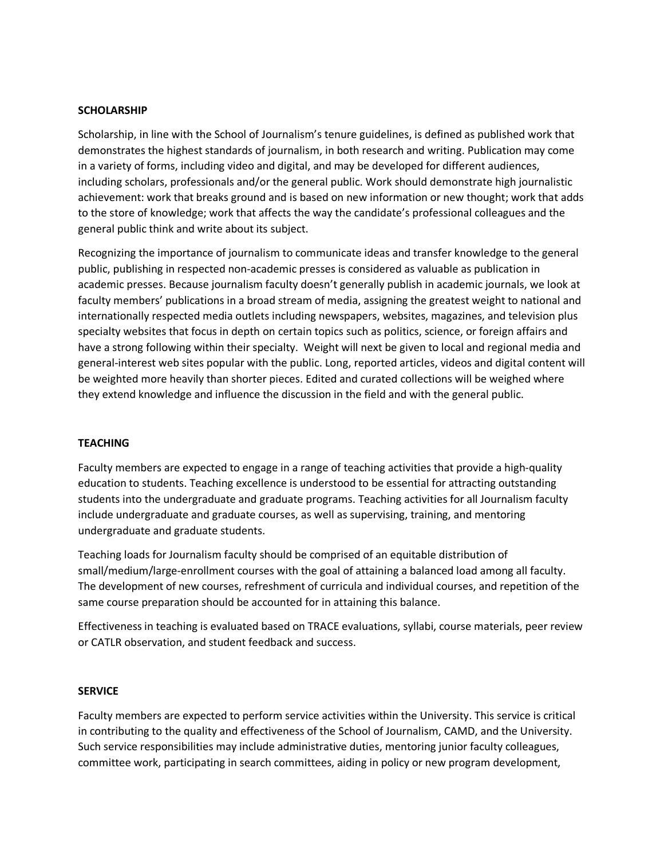### **SCHOLARSHIP**

Scholarship, in line with the School of Journalism's tenure guidelines, is defined as published work that demonstrates the highest standards of journalism, in both research and writing. Publication may come in a variety of forms, including video and digital, and may be developed for different audiences, including scholars, professionals and/or the general public. Work should demonstrate high journalistic achievement: work that breaks ground and is based on new information or new thought; work that adds to the store of knowledge; work that affects the way the candidate's professional colleagues and the general public think and write about its subject.

Recognizing the importance of journalism to communicate ideas and transfer knowledge to the general public, publishing in respected non-academic presses is considered as valuable as publication in academic presses. Because journalism faculty doesn't generally publish in academic journals, we look at faculty members' publications in a broad stream of media, assigning the greatest weight to national and internationally respected media outlets including newspapers, websites, magazines, and television plus specialty websites that focus in depth on certain topics such as politics, science, or foreign affairs and have a strong following within their specialty. Weight will next be given to local and regional media and general-interest web sites popular with the public. Long, reported articles, videos and digital content will be weighted more heavily than shorter pieces. Edited and curated collections will be weighed where they extend knowledge and influence the discussion in the field and with the general public.

# **TEACHING**

Faculty members are expected to engage in a range of teaching activities that provide a high-quality education to students. Teaching excellence is understood to be essential for attracting outstanding students into the undergraduate and graduate programs. Teaching activities for all Journalism faculty include undergraduate and graduate courses, as well as supervising, training, and mentoring undergraduate and graduate students.

Teaching loads for Journalism faculty should be comprised of an equitable distribution of small/medium/large-enrollment courses with the goal of attaining a balanced load among all faculty. The development of new courses, refreshment of curricula and individual courses, and repetition of the same course preparation should be accounted for in attaining this balance.

Effectiveness in teaching is evaluated based on TRACE evaluations, syllabi, course materials, peer review or CATLR observation, and student feedback and success.

### **SERVICE**

Faculty members are expected to perform service activities within the University. This service is critical in contributing to the quality and effectiveness of the School of Journalism, CAMD, and the University. Such service responsibilities may include administrative duties, mentoring junior faculty colleagues, committee work, participating in search committees, aiding in policy or new program development,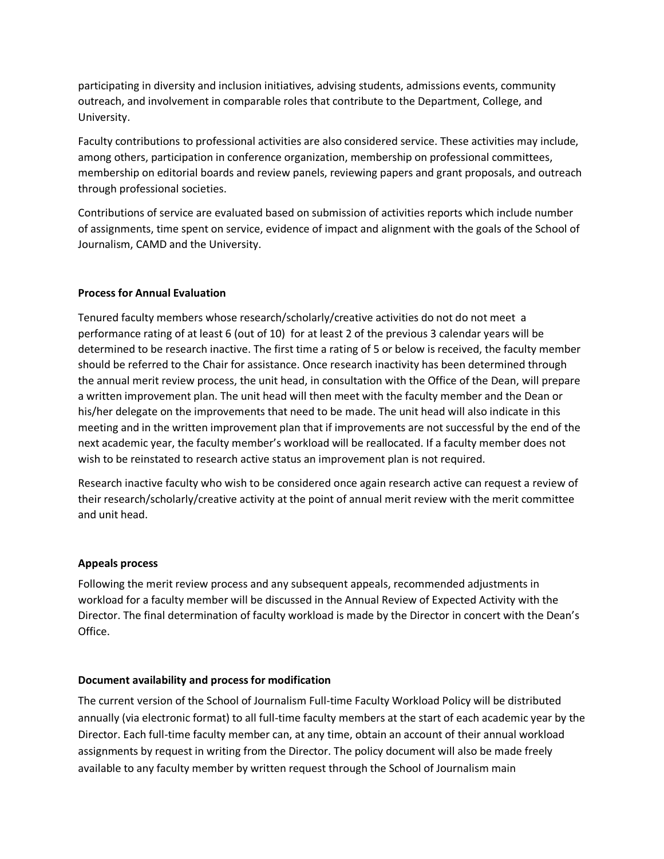participating in diversity and inclusion initiatives, advising students, admissions events, community outreach, and involvement in comparable roles that contribute to the Department, College, and University.

Faculty contributions to professional activities are also considered service. These activities may include, among others, participation in conference organization, membership on professional committees, membership on editorial boards and review panels, reviewing papers and grant proposals, and outreach through professional societies.

Contributions of service are evaluated based on submission of activities reports which include number of assignments, time spent on service, evidence of impact and alignment with the goals of the School of Journalism, CAMD and the University.

# **Process for Annual Evaluation**

Tenured faculty members whose research/scholarly/creative activities do not do not meet a performance rating of at least 6 (out of 10) for at least 2 of the previous 3 calendar years will be determined to be research inactive. The first time a rating of 5 or below is received, the faculty member should be referred to the Chair for assistance. Once research inactivity has been determined through the annual merit review process, the unit head, in consultation with the Office of the Dean, will prepare a written improvement plan. The unit head will then meet with the faculty member and the Dean or his/her delegate on the improvements that need to be made. The unit head will also indicate in this meeting and in the written improvement plan that if improvements are not successful by the end of the next academic year, the faculty member's workload will be reallocated. If a faculty member does not wish to be reinstated to research active status an improvement plan is not required.

Research inactive faculty who wish to be considered once again research active can request a review of their research/scholarly/creative activity at the point of annual merit review with the merit committee and unit head.

# **Appeals process**

Following the merit review process and any subsequent appeals, recommended adjustments in workload for a faculty member will be discussed in the Annual Review of Expected Activity with the Director. The final determination of faculty workload is made by the Director in concert with the Dean's Office.

# **Document availability and process for modification**

The current version of the School of Journalism Full-time Faculty Workload Policy will be distributed annually (via electronic format) to all full-time faculty members at the start of each academic year by the Director. Each full-time faculty member can, at any time, obtain an account of their annual workload assignments by request in writing from the Director. The policy document will also be made freely available to any faculty member by written request through the School of Journalism main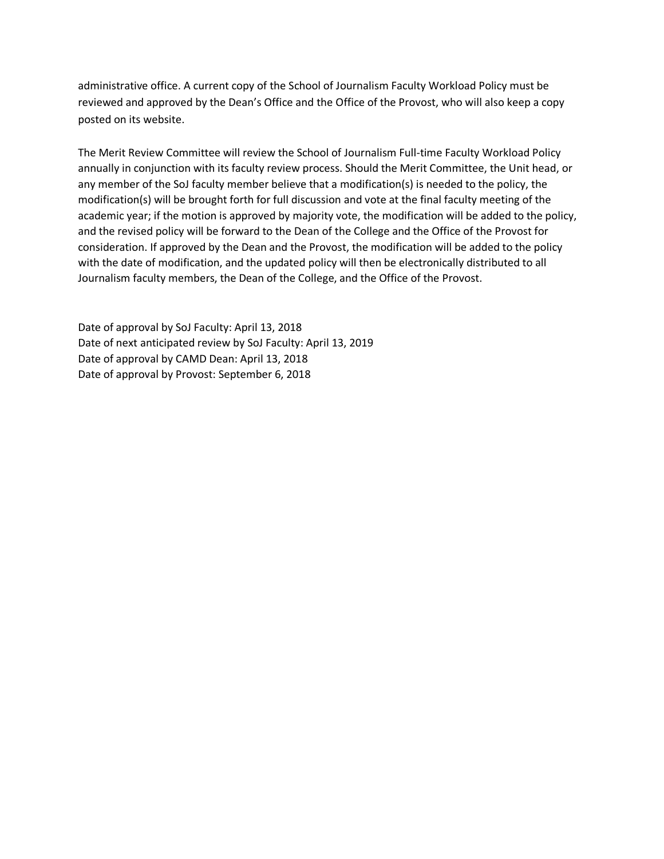administrative office. A current copy of the School of Journalism Faculty Workload Policy must be reviewed and approved by the Dean's Office and the Office of the Provost, who will also keep a copy posted on its website.

The Merit Review Committee will review the School of Journalism Full-time Faculty Workload Policy annually in conjunction with its faculty review process. Should the Merit Committee, the Unit head, or any member of the SoJ faculty member believe that a modification(s) is needed to the policy, the modification(s) will be brought forth for full discussion and vote at the final faculty meeting of the academic year; if the motion is approved by majority vote, the modification will be added to the policy, and the revised policy will be forward to the Dean of the College and the Office of the Provost for consideration. If approved by the Dean and the Provost, the modification will be added to the policy with the date of modification, and the updated policy will then be electronically distributed to all Journalism faculty members, the Dean of the College, and the Office of the Provost.

Date of approval by SoJ Faculty: April 13, 2018 Date of next anticipated review by SoJ Faculty: April 13, 2019 Date of approval by CAMD Dean: April 13, 2018 Date of approval by Provost: September 6, 2018